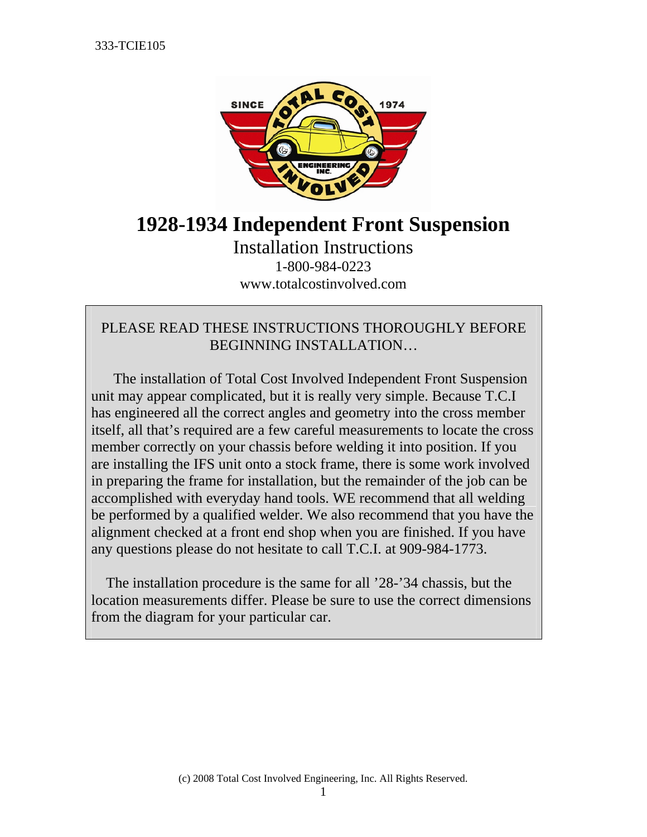

# **1928-1934 Independent Front Suspension**

Installation Instructions 1-800-984-0223 www.totalcostinvolved.com

# PLEASE READ THESE INSTRUCTIONS THOROUGHLY BEFORE BEGINNING INSTALLATION…

 The installation of Total Cost Involved Independent Front Suspension unit may appear complicated, but it is really very simple. Because T.C.I has engineered all the correct angles and geometry into the cross member itself, all that's required are a few careful measurements to locate the cross member correctly on your chassis before welding it into position. If you are installing the IFS unit onto a stock frame, there is some work involved in preparing the frame for installation, but the remainder of the job can be accomplished with everyday hand tools. WE recommend that all welding be performed by a qualified welder. We also recommend that you have the alignment checked at a front end shop when you are finished. If you have any questions please do not hesitate to call T.C.I. at 909-984-1773.

 The installation procedure is the same for all '28-'34 chassis, but the location measurements differ. Please be sure to use the correct dimensions from the diagram for your particular car.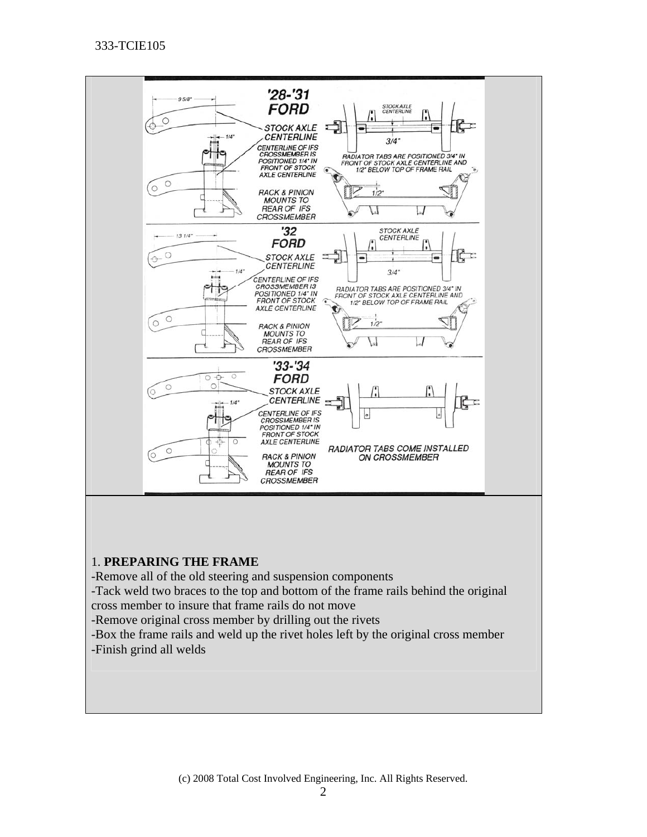

#### 1. **PREPARING THE FRAME**

-Remove all of the old steering and suspension components

-Tack weld two braces to the top and bottom of the frame rails behind the original cross member to insure that frame rails do not move

-Remove original cross member by drilling out the rivets

-Box the frame rails and weld up the rivet holes left by the original cross member -Finish grind all welds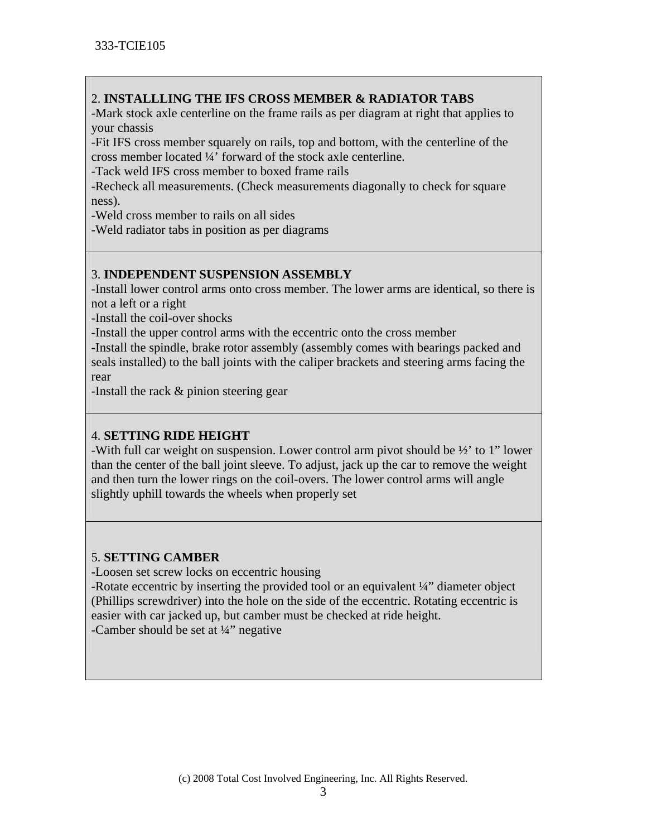# 2. **INSTALLLING THE IFS CROSS MEMBER & RADIATOR TABS**

-Mark stock axle centerline on the frame rails as per diagram at right that applies to your chassis

-Fit IFS cross member squarely on rails, top and bottom, with the centerline of the cross member located ¼' forward of the stock axle centerline.

-Tack weld IFS cross member to boxed frame rails

-Recheck all measurements. (Check measurements diagonally to check for square ness).

-Weld cross member to rails on all sides

-Weld radiator tabs in position as per diagrams

# 3. **INDEPENDENT SUSPENSION ASSEMBLY**

-Install lower control arms onto cross member. The lower arms are identical, so there is not a left or a right

-Install the coil-over shocks

-Install the upper control arms with the eccentric onto the cross member

-Install the spindle, brake rotor assembly (assembly comes with bearings packed and seals installed) to the ball joints with the caliper brackets and steering arms facing the rear

-Install the rack & pinion steering gear

# 4. **SETTING RIDE HEIGHT**

-With full car weight on suspension. Lower control arm pivot should be ½' to 1" lower than the center of the ball joint sleeve. To adjust, jack up the car to remove the weight and then turn the lower rings on the coil-overs. The lower control arms will angle slightly uphill towards the wheels when properly set

## 5. **SETTING CAMBER**

**-**Loosen set screw locks on eccentric housing

-Rotate eccentric by inserting the provided tool or an equivalent ¼" diameter object (Phillips screwdriver) into the hole on the side of the eccentric. Rotating eccentric is easier with car jacked up, but camber must be checked at ride height. -Camber should be set at  $\frac{1}{4}$ " negative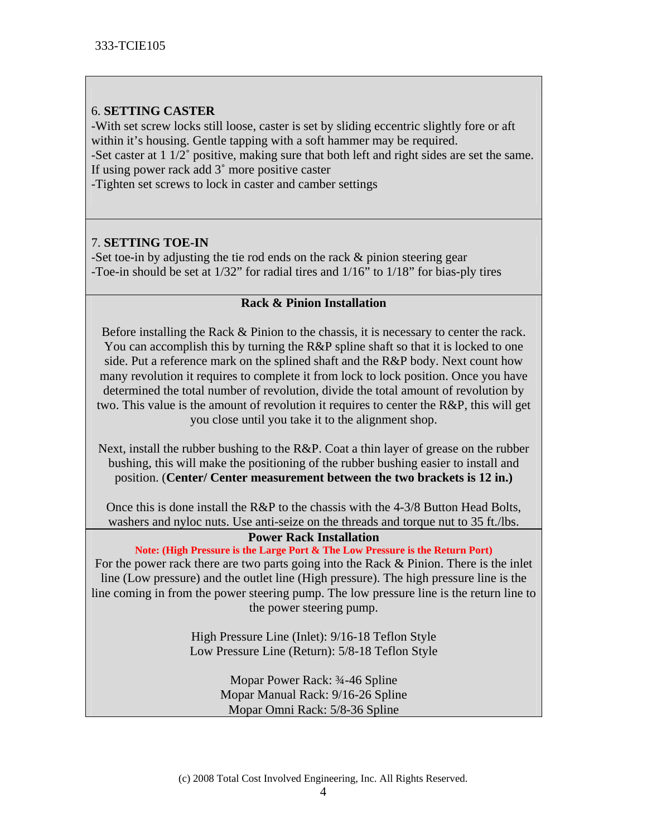#### 6. **SETTING CASTER**

-With set screw locks still loose, caster is set by sliding eccentric slightly fore or aft within it's housing. Gentle tapping with a soft hammer may be required.

-Set caster at 1 1/2˚ positive, making sure that both left and right sides are set the same. If using power rack add 3˚ more positive caster

-Tighten set screws to lock in caster and camber settings

## 7. **SETTING TOE-IN**

-Set toe-in by adjusting the tie rod ends on the rack & pinion steering gear -Toe-in should be set at 1/32" for radial tires and 1/16" to 1/18" for bias-ply tires

#### **Rack & Pinion Installation**

Before installing the Rack & Pinion to the chassis, it is necessary to center the rack. You can accomplish this by turning the R&P spline shaft so that it is locked to one side. Put a reference mark on the splined shaft and the R&P body. Next count how many revolution it requires to complete it from lock to lock position. Once you have determined the total number of revolution, divide the total amount of revolution by two. This value is the amount of revolution it requires to center the R&P, this will get you close until you take it to the alignment shop.

Next, install the rubber bushing to the R&P. Coat a thin layer of grease on the rubber bushing, this will make the positioning of the rubber bushing easier to install and position. (**Center/ Center measurement between the two brackets is 12 in.)** 

Once this is done install the R&P to the chassis with the 4-3/8 Button Head Bolts, washers and nyloc nuts. Use anti-seize on the threads and torque nut to 35 ft./lbs.

#### **Power Rack Installation**

**Note: (High Pressure is the Large Port & The Low Pressure is the Return Port)** 

For the power rack there are two parts going into the Rack & Pinion. There is the inlet line (Low pressure) and the outlet line (High pressure). The high pressure line is the line coming in from the power steering pump. The low pressure line is the return line to the power steering pump.

> High Pressure Line (Inlet): 9/16-18 Teflon Style Low Pressure Line (Return): 5/8-18 Teflon Style

> > Mopar Power Rack: ¾-46 Spline Mopar Manual Rack: 9/16-26 Spline Mopar Omni Rack: 5/8-36 Spline